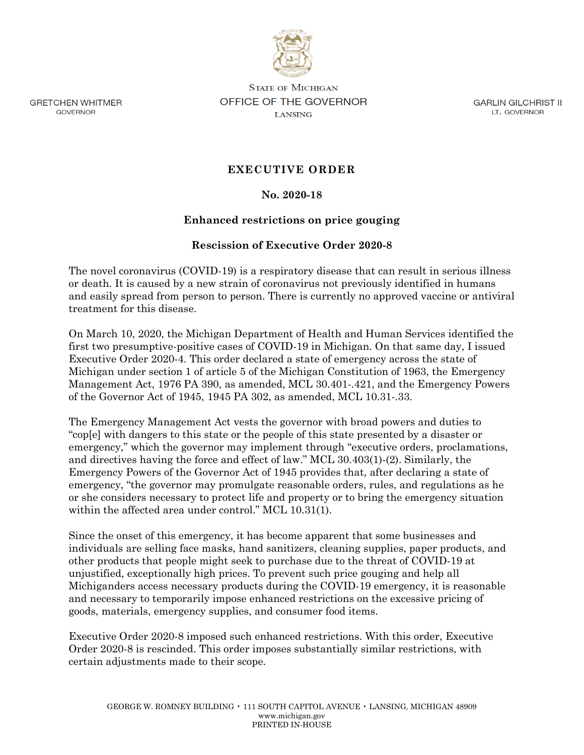

**GRETCHEN WHITMER GOVERNOR** 

**STATE OF MICHIGAN** OFFICE OF THE GOVERNOR **LANSING** 

**GARLIN GILCHRIST II** LT. GOVERNOR

## **EXECUTIVE ORDER**

### **No. 2020-18**

### **Enhanced restrictions on price gouging**

#### **Rescission of Executive Order 2020-8**

The novel coronavirus (COVID-19) is a respiratory disease that can result in serious illness or death. It is caused by a new strain of coronavirus not previously identified in humans and easily spread from person to person. There is currently no approved vaccine or antiviral treatment for this disease.

On March 10, 2020, the Michigan Department of Health and Human Services identified the first two presumptive-positive cases of COVID-19 in Michigan. On that same day, I issued Executive Order 2020-4. This order declared a state of emergency across the state of Michigan under section 1 of article 5 of the Michigan Constitution of 1963, the Emergency Management Act, 1976 PA 390, as amended, MCL 30.401-.421, and the Emergency Powers of the Governor Act of 1945, 1945 PA 302, as amended, MCL 10.31-.33.

The Emergency Management Act vests the governor with broad powers and duties to "cop[e] with dangers to this state or the people of this state presented by a disaster or emergency," which the governor may implement through "executive orders, proclamations, and directives having the force and effect of law." MCL 30.403(1)-(2). Similarly, the Emergency Powers of the Governor Act of 1945 provides that, after declaring a state of emergency, "the governor may promulgate reasonable orders, rules, and regulations as he or she considers necessary to protect life and property or to bring the emergency situation within the affected area under control." MCL 10.31(1).

Since the onset of this emergency, it has become apparent that some businesses and individuals are selling face masks, hand sanitizers, cleaning supplies, paper products, and other products that people might seek to purchase due to the threat of COVID-19 at unjustified, exceptionally high prices. To prevent such price gouging and help all Michiganders access necessary products during the COVID-19 emergency, it is reasonable and necessary to temporarily impose enhanced restrictions on the excessive pricing of goods, materials, emergency supplies, and consumer food items.

Executive Order 2020-8 imposed such enhanced restrictions. With this order, Executive Order 2020-8 is rescinded. This order imposes substantially similar restrictions, with certain adjustments made to their scope.